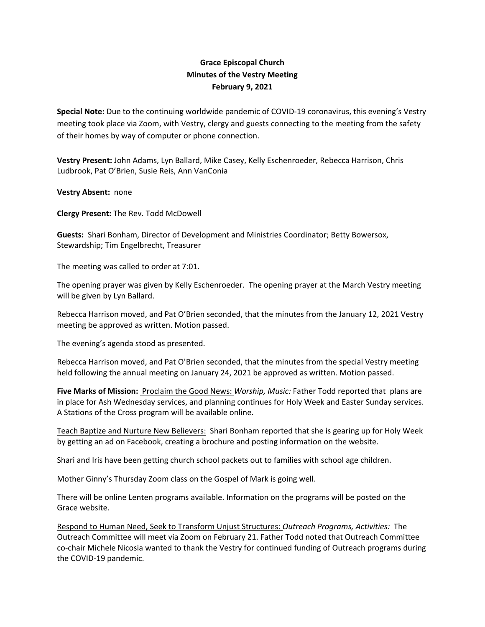## **Grace Episcopal Church Minutes of the Vestry Meeting February 9, 2021**

**Special Note:** Due to the continuing worldwide pandemic of COVID‐19 coronavirus, this evening's Vestry meeting took place via Zoom, with Vestry, clergy and guests connecting to the meeting from the safety of their homes by way of computer or phone connection.

**Vestry Present:** John Adams, Lyn Ballard, Mike Casey, Kelly Eschenroeder, Rebecca Harrison, Chris Ludbrook, Pat O'Brien, Susie Reis, Ann VanConia

**Vestry Absent:** none

**Clergy Present:** The Rev. Todd McDowell

**Guests:** Shari Bonham, Director of Development and Ministries Coordinator; Betty Bowersox, Stewardship; Tim Engelbrecht, Treasurer

The meeting was called to order at 7:01.

The opening prayer was given by Kelly Eschenroeder. The opening prayer at the March Vestry meeting will be given by Lyn Ballard.

Rebecca Harrison moved, and Pat O'Brien seconded, that the minutes from the January 12, 2021 Vestry meeting be approved as written. Motion passed.

The evening's agenda stood as presented.

Rebecca Harrison moved, and Pat O'Brien seconded, that the minutes from the special Vestry meeting held following the annual meeting on January 24, 2021 be approved as written. Motion passed.

**Five Marks of Mission:** Proclaim the Good News: *Worship, Music:* Father Todd reported that plans are in place for Ash Wednesday services, and planning continues for Holy Week and Easter Sunday services. A Stations of the Cross program will be available online.

Teach Baptize and Nurture New Believers:Shari Bonham reported that she is gearing up for Holy Week by getting an ad on Facebook, creating a brochure and posting information on the website.

Shari and Iris have been getting church school packets out to families with school age children.

Mother Ginny's Thursday Zoom class on the Gospel of Mark is going well.

There will be online Lenten programs available. Information on the programs will be posted on the Grace website.

Respond to Human Need, Seek to Transform Unjust Structures: *Outreach Programs, Activities:* The Outreach Committee will meet via Zoom on February 21. Father Todd noted that Outreach Committee co-chair Michele Nicosia wanted to thank the Vestry for continued funding of Outreach programs during the COVID‐19 pandemic.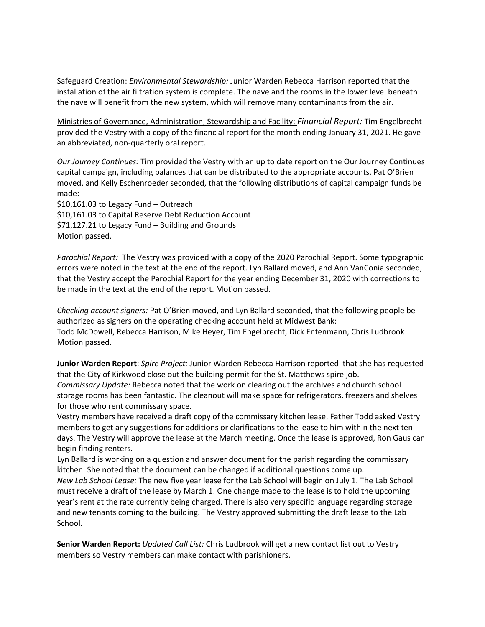Safeguard Creation: *Environmental Stewardship:* Junior Warden Rebecca Harrison reported that the installation of the air filtration system is complete. The nave and the rooms in the lower level beneath the nave will benefit from the new system, which will remove many contaminants from the air.

Ministries of Governance, Administration, Stewardship and Facility: *Financial Report:* Tim Engelbrecht provided the Vestry with a copy of the financial report for the month ending January 31, 2021. He gave an abbreviated, non‐quarterly oral report.

*Our Journey Continues:* Tim provided the Vestry with an up to date report on the Our Journey Continues capital campaign, including balances that can be distributed to the appropriate accounts. Pat O'Brien moved, and Kelly Eschenroeder seconded, that the following distributions of capital campaign funds be made:

\$10,161.03 to Legacy Fund – Outreach \$10,161.03 to Capital Reserve Debt Reduction Account \$71,127.21 to Legacy Fund – Building and Grounds Motion passed.

*Parochial Report:* The Vestry was provided with a copy of the 2020 Parochial Report. Some typographic errors were noted in the text at the end of the report. Lyn Ballard moved, and Ann VanConia seconded, that the Vestry accept the Parochial Report for the year ending December 31, 2020 with corrections to be made in the text at the end of the report. Motion passed.

*Checking account signers:* Pat O'Brien moved, and Lyn Ballard seconded, that the following people be authorized as signers on the operating checking account held at Midwest Bank: Todd McDowell, Rebecca Harrison, Mike Heyer, Tim Engelbrecht, Dick Entenmann, Chris Ludbrook Motion passed.

**Junior Warden Report**: *Spire Project:* Junior Warden Rebecca Harrison reported that she has requested that the City of Kirkwood close out the building permit for the St. Matthews spire job. *Commissary Update:* Rebecca noted that the work on clearing out the archives and church school storage rooms has been fantastic. The cleanout will make space for refrigerators, freezers and shelves for those who rent commissary space.

Vestry members have received a draft copy of the commissary kitchen lease. Father Todd asked Vestry members to get any suggestions for additions or clarifications to the lease to him within the next ten days. The Vestry will approve the lease at the March meeting. Once the lease is approved, Ron Gaus can begin finding renters.

Lyn Ballard is working on a question and answer document for the parish regarding the commissary kitchen. She noted that the document can be changed if additional questions come up.

*New Lab School Lease:* The new five year lease for the Lab School will begin on July 1. The Lab School must receive a draft of the lease by March 1. One change made to the lease is to hold the upcoming year's rent at the rate currently being charged. There is also very specific language regarding storage and new tenants coming to the building. The Vestry approved submitting the draft lease to the Lab School.

**Senior Warden Report:** *Updated Call List:* Chris Ludbrook will get a new contact list out to Vestry members so Vestry members can make contact with parishioners.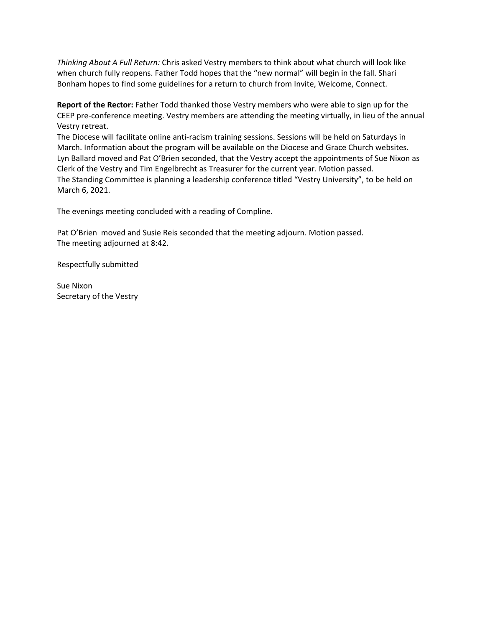*Thinking About A Full Return:* Chris asked Vestry members to think about what church will look like when church fully reopens. Father Todd hopes that the "new normal" will begin in the fall. Shari Bonham hopes to find some guidelines for a return to church from Invite, Welcome, Connect.

**Report of the Rector:** Father Todd thanked those Vestry members who were able to sign up for the CEEP pre‐conference meeting. Vestry members are attending the meeting virtually, in lieu of the annual Vestry retreat.

The Diocese will facilitate online anti‐racism training sessions. Sessions will be held on Saturdays in March. Information about the program will be available on the Diocese and Grace Church websites. Lyn Ballard moved and Pat O'Brien seconded, that the Vestry accept the appointments of Sue Nixon as Clerk of the Vestry and Tim Engelbrecht as Treasurer for the current year. Motion passed. The Standing Committee is planning a leadership conference titled "Vestry University", to be held on March 6, 2021.

The evenings meeting concluded with a reading of Compline.

Pat O'Brien moved and Susie Reis seconded that the meeting adjourn. Motion passed. The meeting adjourned at 8:42.

Respectfully submitted

Sue Nixon Secretary of the Vestry